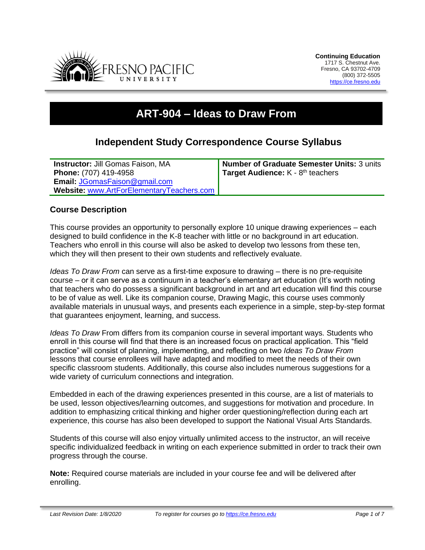

# **ART-904 – Ideas to Draw From**

# **Independent Study Correspondence Course Syllabus**

**Instructor:** Jill Gomas Faison, MA **Phone:** (707) 419-4958 **Email:** [JGomasFaison@gmail.com](mailto:JGomasFaison@gmail.com) **Website:** [www.ArtForElementaryTeachers.com](http://www.artforelementaryteachers.com/) **Number of Graduate Semester Units:** 3 units Target Audience: K - 8<sup>th</sup> teachers

# **Course Description**

This course provides an opportunity to personally explore 10 unique drawing experiences – each designed to build confidence in the K-8 teacher with little or no background in art education. Teachers who enroll in this course will also be asked to develop two lessons from these ten, which they will then present to their own students and reflectively evaluate.

*Ideas To Draw From* can serve as a first-time exposure to drawing – there is no pre-requisite course – or it can serve as a continuum in a teacher's elementary art education (It's worth noting that teachers who do possess a significant background in art and art education will find this course to be of value as well. Like its companion course, Drawing Magic, this course uses commonly available materials in unusual ways, and presents each experience in a simple, step-by-step format that guarantees enjoyment, learning, and success.

*Ideas To Draw* From differs from its companion course in several important ways. Students who enroll in this course will find that there is an increased focus on practical application. This "field practice" will consist of planning, implementing, and reflecting on two *Ideas To Draw From* lessons that course enrollees will have adapted and modified to meet the needs of their own specific classroom students. Additionally, this course also includes numerous suggestions for a wide variety of curriculum connections and integration.

Embedded in each of the drawing experiences presented in this course, are a list of materials to be used, lesson objectives/learning outcomes, and suggestions for motivation and procedure. In addition to emphasizing critical thinking and higher order questioning/reflection during each art experience, this course has also been developed to support the National Visual Arts Standards.

Students of this course will also enjoy virtually unlimited access to the instructor, an will receive specific individualized feedback in writing on each experience submitted in order to track their own progress through the course.

**Note:** Required course materials are included in your course fee and will be delivered after enrolling.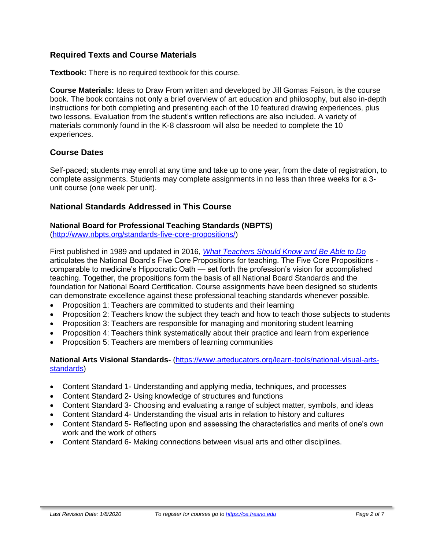# **Required Texts and Course Materials**

**Textbook:** There is no required textbook for this course.

**Course Materials:** Ideas to Draw From written and developed by Jill Gomas Faison, is the course book. The book contains not only a brief overview of art education and philosophy, but also in-depth instructions for both completing and presenting each of the 10 featured drawing experiences, plus two lessons. Evaluation from the student's written reflections are also included. A variety of materials commonly found in the K-8 classroom will also be needed to complete the 10 experiences.

# **Course Dates**

Self-paced; students may enroll at any time and take up to one year, from the date of registration, to complete assignments. Students may complete assignments in no less than three weeks for a 3 unit course (one week per unit).

#### **National Standards Addressed in This Course**

#### **National Board for Professional Teaching Standards (NBPTS)**

[\(http://www.nbpts.org/standards-five-core-propositions/\)](http://www.nbpts.org/standards-five-core-propositions/)

First published in 1989 and updated in 2016, *[What Teachers Should Know and Be Able to Do](http://www.accomplishedteacher.org/)* articulates the National Board's Five Core Propositions for teaching. The Five Core Propositions comparable to medicine's Hippocratic Oath — set forth the profession's vision for accomplished teaching. Together, the propositions form the basis of all National Board Standards and the foundation for National Board Certification. Course assignments have been designed so students can demonstrate excellence against these professional teaching standards whenever possible.

- Proposition 1: Teachers are committed to students and their learning
- Proposition 2: Teachers know the subject they teach and how to teach those subjects to students
- Proposition 3: Teachers are responsible for managing and monitoring student learning
- Proposition 4: Teachers think systematically about their practice and learn from experience
- Proposition 5: Teachers are members of learning communities

**National Arts Visional Standards-** [\(https://www.arteducators.org/learn-tools/national-visual-arts](https://www.arteducators.org/learn-tools/national-visual-arts-standards)[standards\)](https://www.arteducators.org/learn-tools/national-visual-arts-standards)

- Content Standard 1- Understanding and applying media, techniques, and processes
- Content Standard 2- Using knowledge of structures and functions
- Content Standard 3- Choosing and evaluating a range of subject matter, symbols, and ideas
- Content Standard 4- Understanding the visual arts in relation to history and cultures
- Content Standard 5- Reflecting upon and assessing the characteristics and merits of one's own work and the work of others
- Content Standard 6- Making connections between visual arts and other disciplines.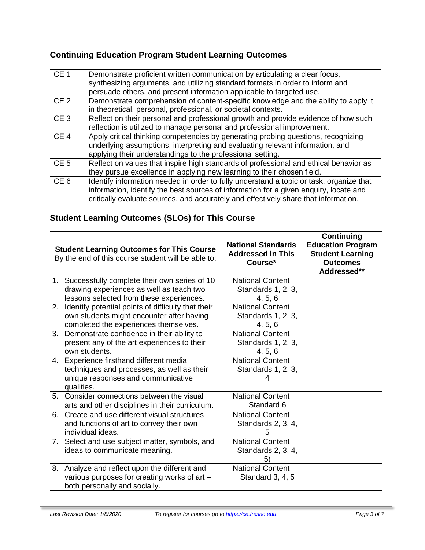# **Continuing Education Program Student Learning Outcomes**

| CE <sub>1</sub> | Demonstrate proficient written communication by articulating a clear focus,<br>synthesizing arguments, and utilizing standard formats in order to inform and<br>persuade others, and present information applicable to targeted use.                                    |
|-----------------|-------------------------------------------------------------------------------------------------------------------------------------------------------------------------------------------------------------------------------------------------------------------------|
| CE <sub>2</sub> | Demonstrate comprehension of content-specific knowledge and the ability to apply it<br>in theoretical, personal, professional, or societal contexts.                                                                                                                    |
| CE <sub>3</sub> | Reflect on their personal and professional growth and provide evidence of how such<br>reflection is utilized to manage personal and professional improvement.                                                                                                           |
| CE <sub>4</sub> | Apply critical thinking competencies by generating probing questions, recognizing<br>underlying assumptions, interpreting and evaluating relevant information, and<br>applying their understandings to the professional setting.                                        |
| CE <sub>5</sub> | Reflect on values that inspire high standards of professional and ethical behavior as<br>they pursue excellence in applying new learning to their chosen field.                                                                                                         |
| CE <sub>6</sub> | Identify information needed in order to fully understand a topic or task, organize that<br>information, identify the best sources of information for a given enquiry, locate and<br>critically evaluate sources, and accurately and effectively share that information. |

# **Student Learning Outcomes (SLOs) for This Course**

|    | <b>Student Learning Outcomes for This Course</b><br>By the end of this course student will be able to: | <b>National Standards</b><br><b>Addressed in This</b><br>Course* | <b>Continuing</b><br><b>Education Program</b><br><b>Student Learning</b><br><b>Outcomes</b><br>Addressed** |
|----|--------------------------------------------------------------------------------------------------------|------------------------------------------------------------------|------------------------------------------------------------------------------------------------------------|
|    | 1. Successfully complete their own series of 10                                                        | <b>National Content</b>                                          |                                                                                                            |
|    | drawing experiences as well as teach two                                                               | Standards 1, 2, 3,                                               |                                                                                                            |
|    | lessons selected from these experiences.                                                               | 4, 5, 6                                                          |                                                                                                            |
| 2. | Identify potential points of difficulty that their                                                     | <b>National Content</b>                                          |                                                                                                            |
|    | own students might encounter after having                                                              | Standards 1, 2, 3,                                               |                                                                                                            |
|    | completed the experiences themselves.                                                                  | 4, 5, 6                                                          |                                                                                                            |
| 3. | Demonstrate confidence in their ability to                                                             | <b>National Content</b>                                          |                                                                                                            |
|    | present any of the art experiences to their                                                            | Standards 1, 2, 3,                                               |                                                                                                            |
|    | own students.                                                                                          | 4, 5, 6                                                          |                                                                                                            |
| 4. | Experience firsthand different media                                                                   | <b>National Content</b>                                          |                                                                                                            |
|    | techniques and processes, as well as their                                                             | Standards 1, 2, 3,                                               |                                                                                                            |
|    | unique responses and communicative<br>qualities.                                                       | Δ.                                                               |                                                                                                            |
| 5. | Consider connections between the visual                                                                | <b>National Content</b>                                          |                                                                                                            |
|    | arts and other disciplines in their curriculum.                                                        | Standard 6                                                       |                                                                                                            |
| 6. | Create and use different visual structures                                                             | <b>National Content</b>                                          |                                                                                                            |
|    | and functions of art to convey their own                                                               | Standards 2, 3, 4,                                               |                                                                                                            |
|    | individual ideas.                                                                                      | 5                                                                |                                                                                                            |
| 7. | Select and use subject matter, symbols, and                                                            | <b>National Content</b>                                          |                                                                                                            |
|    | ideas to communicate meaning.                                                                          | Standards 2, 3, 4,                                               |                                                                                                            |
|    |                                                                                                        | 5                                                                |                                                                                                            |
| 8. | Analyze and reflect upon the different and                                                             | <b>National Content</b>                                          |                                                                                                            |
|    | various purposes for creating works of art -<br>both personally and socially.                          | Standard 3, 4, 5                                                 |                                                                                                            |
|    |                                                                                                        |                                                                  |                                                                                                            |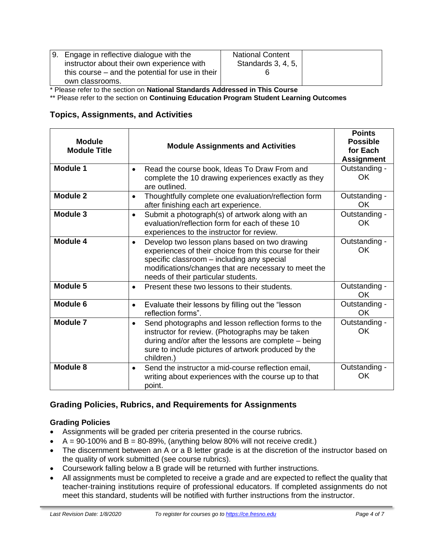| 9. Engage in reflective dialogue with the        | <b>National Content</b> |  |
|--------------------------------------------------|-------------------------|--|
| instructor about their own experience with       | Standards 3, 4, 5,      |  |
| this course – and the potential for use in their |                         |  |
| own classrooms.                                  |                         |  |

\* Please refer to the section on **National Standards Addressed in This Course**

\*\* Please refer to the section on **Continuing Education Program Student Learning Outcomes**

# **Topics, Assignments, and Activities**

| <b>Module</b><br><b>Module Title</b> | <b>Module Assignments and Activities</b>                                                                                                                                                                                                                          | <b>Points</b><br><b>Possible</b><br>for Each<br><b>Assignment</b> |
|--------------------------------------|-------------------------------------------------------------------------------------------------------------------------------------------------------------------------------------------------------------------------------------------------------------------|-------------------------------------------------------------------|
| <b>Module 1</b>                      | Read the course book, Ideas To Draw From and<br>$\bullet$<br>complete the 10 drawing experiences exactly as they<br>are outlined.                                                                                                                                 | Outstanding -<br>OK                                               |
| Module 2                             | Thoughtfully complete one evaluation/reflection form<br>$\bullet$<br>after finishing each art experience.                                                                                                                                                         |                                                                   |
| Module 3                             | Submit a photograph(s) of artwork along with an<br>$\bullet$<br>evaluation/reflection form for each of these 10<br>experiences to the instructor for review.                                                                                                      | Outstanding -<br>OK.                                              |
| Module 4                             | Develop two lesson plans based on two drawing<br>$\bullet$<br>experiences of their choice from this course for their<br>specific classroom - including any special<br>modifications/changes that are necessary to meet the<br>needs of their particular students. | Outstanding -<br>OK                                               |
| Module 5                             | Present these two lessons to their students.<br>$\bullet$                                                                                                                                                                                                         | Outstanding -<br>OK                                               |
| <b>Module 6</b>                      | Evaluate their lessons by filling out the "lesson<br>$\bullet$<br>reflection forms".                                                                                                                                                                              | Outstanding -<br>OK                                               |
| Module 7                             | Send photographs and lesson reflection forms to the<br>$\bullet$<br>instructor for review. (Photographs may be taken<br>during and/or after the lessons are complete - being<br>sure to include pictures of artwork produced by the<br>children.)                 | Outstanding -<br>OK                                               |
| Module 8                             | Send the instructor a mid-course reflection email,<br>$\bullet$<br>writing about experiences with the course up to that<br>point.                                                                                                                                 | Outstanding -<br><b>OK</b>                                        |

# **Grading Policies, Rubrics, and Requirements for Assignments**

# **Grading Policies**

- Assignments will be graded per criteria presented in the course rubrics.
- $A = 90-100\%$  and  $B = 80-89\%$ , (anything below 80% will not receive credit.)
- The discernment between an A or a B letter grade is at the discretion of the instructor based on the quality of work submitted (see course rubrics).
- Coursework falling below a B grade will be returned with further instructions.
- All assignments must be completed to receive a grade and are expected to reflect the quality that teacher-training institutions require of professional educators. If completed assignments do not meet this standard, students will be notified with further instructions from the instructor.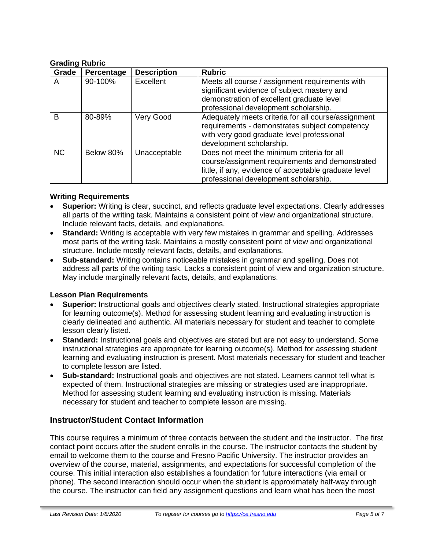#### **Grading Rubric**

| Grade     | Percentage | <b>Description</b> | <b>Rubric</b>                                                                                                                                                                                   |
|-----------|------------|--------------------|-------------------------------------------------------------------------------------------------------------------------------------------------------------------------------------------------|
| A         | 90-100%    | Excellent          | Meets all course / assignment requirements with<br>significant evidence of subject mastery and<br>demonstration of excellent graduate level<br>professional development scholarship.            |
| B         | 80-89%     | Very Good          | Adequately meets criteria for all course/assignment<br>requirements - demonstrates subject competency<br>with very good graduate level professional<br>development scholarship.                 |
| <b>NC</b> | Below 80%  | Unacceptable       | Does not meet the minimum criteria for all<br>course/assignment requirements and demonstrated<br>little, if any, evidence of acceptable graduate level<br>professional development scholarship. |

#### **Writing Requirements**

- **Superior:** Writing is clear, succinct, and reflects graduate level expectations. Clearly addresses all parts of the writing task. Maintains a consistent point of view and organizational structure. Include relevant facts, details, and explanations.
- **Standard:** Writing is acceptable with very few mistakes in grammar and spelling. Addresses most parts of the writing task. Maintains a mostly consistent point of view and organizational structure. Include mostly relevant facts, details, and explanations.
- **Sub-standard:** Writing contains noticeable mistakes in grammar and spelling. Does not address all parts of the writing task. Lacks a consistent point of view and organization structure. May include marginally relevant facts, details, and explanations.

#### **Lesson Plan Requirements**

- **Superior:** Instructional goals and objectives clearly stated. Instructional strategies appropriate for learning outcome(s). Method for assessing student learning and evaluating instruction is clearly delineated and authentic. All materials necessary for student and teacher to complete lesson clearly listed.
- **Standard:** Instructional goals and objectives are stated but are not easy to understand. Some instructional strategies are appropriate for learning outcome(s). Method for assessing student learning and evaluating instruction is present. Most materials necessary for student and teacher to complete lesson are listed.
- **Sub-standard:** Instructional goals and objectives are not stated. Learners cannot tell what is expected of them. Instructional strategies are missing or strategies used are inappropriate. Method for assessing student learning and evaluating instruction is missing. Materials necessary for student and teacher to complete lesson are missing.

# **Instructor/Student Contact Information**

This course requires a minimum of three contacts between the student and the instructor. The first contact point occurs after the student enrolls in the course. The instructor contacts the student by email to welcome them to the course and Fresno Pacific University. The instructor provides an overview of the course, material, assignments, and expectations for successful completion of the course. This initial interaction also establishes a foundation for future interactions (via email or phone). The second interaction should occur when the student is approximately half-way through the course. The instructor can field any assignment questions and learn what has been the most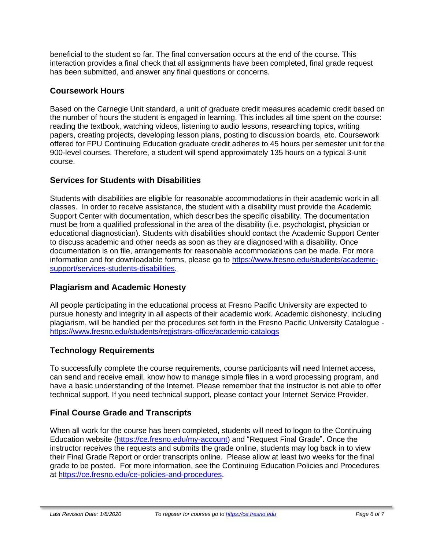beneficial to the student so far. The final conversation occurs at the end of the course. This interaction provides a final check that all assignments have been completed, final grade request has been submitted, and answer any final questions or concerns.

# **Coursework Hours**

Based on the Carnegie Unit standard, a unit of graduate credit measures academic credit based on the number of hours the student is engaged in learning. This includes all time spent on the course: reading the textbook, watching videos, listening to audio lessons, researching topics, writing papers, creating projects, developing lesson plans, posting to discussion boards, etc. Coursework offered for FPU Continuing Education graduate credit adheres to 45 hours per semester unit for the 900-level courses. Therefore, a student will spend approximately 135 hours on a typical 3-unit course.

# **Services for Students with Disabilities**

Students with disabilities are eligible for reasonable accommodations in their academic work in all classes. In order to receive assistance, the student with a disability must provide the Academic Support Center with documentation, which describes the specific disability. The documentation must be from a qualified professional in the area of the disability (i.e. psychologist, physician or educational diagnostician). Students with disabilities should contact the Academic Support Center to discuss academic and other needs as soon as they are diagnosed with a disability. Once documentation is on file, arrangements for reasonable accommodations can be made. For more information and for downloadable forms, please go to [https://www.fresno.edu/students/academic](https://www.fresno.edu/students/academic-support/services-students-disabilities)[support/services-students-disabilities.](https://www.fresno.edu/students/academic-support/services-students-disabilities)

# **Plagiarism and Academic Honesty**

All people participating in the educational process at Fresno Pacific University are expected to pursue honesty and integrity in all aspects of their academic work. Academic dishonesty, including plagiarism, will be handled per the procedures set forth in the Fresno Pacific University Catalogue <https://www.fresno.edu/students/registrars-office/academic-catalogs>

# **Technology Requirements**

To successfully complete the course requirements, course participants will need Internet access, can send and receive email, know how to manage simple files in a word processing program, and have a basic understanding of the Internet. Please remember that the instructor is not able to offer technical support. If you need technical support, please contact your Internet Service Provider.

# **Final Course Grade and Transcripts**

When all work for the course has been completed, students will need to logon to the Continuing Education website [\(https://ce.fresno.edu/my-account\)](https://ce.fresno.edu/my-account) and "Request Final Grade". Once the instructor receives the requests and submits the grade online, students may log back in to view their Final Grade Report or order transcripts online. Please allow at least two weeks for the final grade to be posted. For more information, see the Continuing Education Policies and Procedures at [https://ce.fresno.edu/ce-policies-and-procedures.](https://ce.fresno.edu/ce-policies-and-procedures)